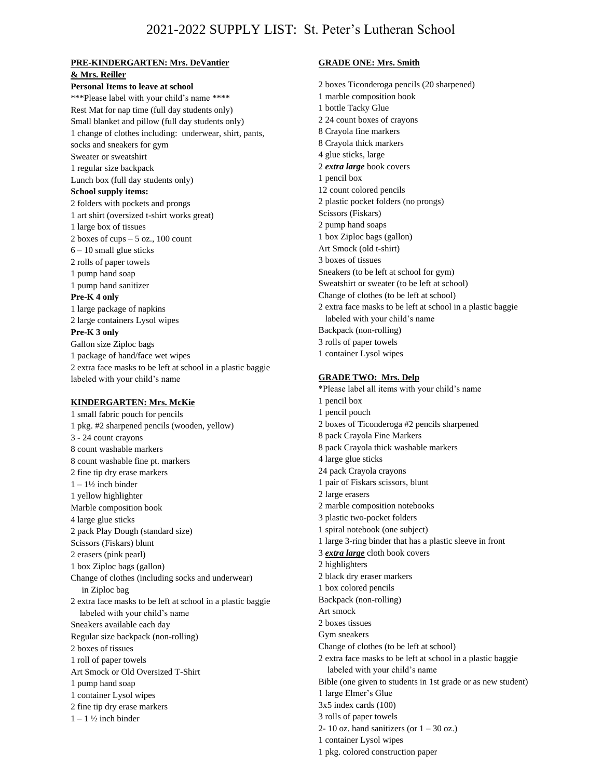#### **PRE-KINDERGARTEN: Mrs. DeVantier & Mrs. Reiller**

**Personal Items to leave at school** \*\*\*Please label with your child's name \*\*\*\* Rest Mat for nap time (full day students only) Small blanket and pillow (full day students only) 1 change of clothes including: underwear, shirt, pants, socks and sneakers for gym Sweater or sweatshirt 1 regular size backpack Lunch box (full day students only) **School supply items:** 2 folders with pockets and prongs 1 art shirt (oversized t-shirt works great) 1 large box of tissues 2 boxes of cups  $-5$  oz., 100 count 6 – 10 small glue sticks 2 rolls of paper towels 1 pump hand soap 1 pump hand sanitizer **Pre-K 4 only** 1 large package of napkins 2 large containers Lysol wipes **Pre-K 3 only** Gallon size Ziploc bags 1 package of hand/face wet wipes 2 extra face masks to be left at school in a plastic baggie labeled with your child's name

### **KINDERGARTEN: Mrs. McKie**

1 small fabric pouch for pencils 1 pkg. #2 sharpened pencils (wooden, yellow) 3 - 24 count crayons 8 count washable markers 8 count washable fine pt. markers 2 fine tip dry erase markers  $1 - 1\frac{1}{2}$  inch binder 1 yellow highlighter Marble composition book 4 large glue sticks 2 pack Play Dough (standard size) Scissors (Fiskars) blunt 2 erasers (pink pearl) 1 box Ziploc bags (gallon) Change of clothes (including socks and underwear) in Ziploc bag 2 extra face masks to be left at school in a plastic baggie labeled with your child's name Sneakers available each day Regular size backpack (non-rolling) 2 boxes of tissues 1 roll of paper towels Art Smock or Old Oversized T-Shirt 1 pump hand soap 1 container Lysol wipes 2 fine tip dry erase markers  $1 - 1\frac{1}{2}$  inch binder

# **GRADE ONE: Mrs. Smith**

2 boxes Ticonderoga pencils (20 sharpened)

1 marble composition book 1 bottle Tacky Glue 2 24 count boxes of crayons 8 Crayola fine markers 8 Crayola thick markers 4 glue sticks, large 2 *extra large* book covers 1 pencil box 12 count colored pencils 2 plastic pocket folders (no prongs) Scissors (Fiskars) 2 pump hand soaps 1 box Ziploc bags (gallon) Art Smock (old t-shirt) 3 boxes of tissues Sneakers (to be left at school for gym) Sweatshirt or sweater (to be left at school) Change of clothes (to be left at school) 2 extra face masks to be left at school in a plastic baggie labeled with your child's name Backpack (non-rolling) 3 rolls of paper towels 1 container Lysol wipes **GRADE TWO: Mrs. Delp**  \*Please label all items with your child's name 1 pencil box 1 pencil pouch 2 boxes of Ticonderoga #2 pencils sharpened 8 pack Crayola Fine Markers 8 pack Crayola thick washable markers 4 large glue sticks 24 pack Crayola crayons 1 pair of Fiskars scissors, blunt 2 large erasers 2 marble composition notebooks 3 plastic two-pocket folders 1 spiral notebook (one subject) 1 large 3-ring binder that has a plastic sleeve in front 3 *extra large* cloth book covers 2 highlighters 2 black dry eraser markers 1 box colored pencils Backpack (non-rolling) Art smock 2 boxes tissues Gym sneakers Change of clothes (to be left at school) 2 extra face masks to be left at school in a plastic baggie labeled with your child's name Bible (one given to students in 1st grade or as new student) 1 large Elmer's Glue 3x5 index cards (100) 3 rolls of paper towels 2- 10 oz. hand sanitizers (or  $1 - 30$  oz.) 1 container Lysol wipes 1 pkg. colored construction paper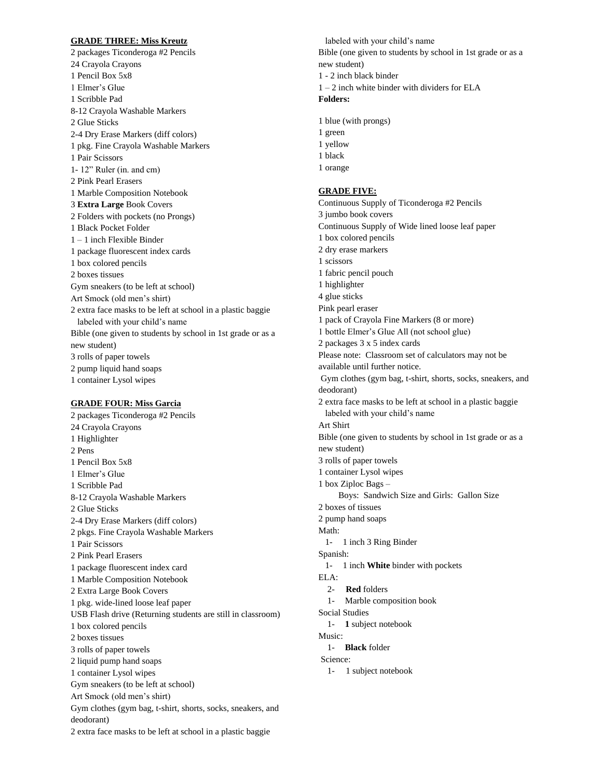#### **GRADE THREE: Miss Kreutz**

2 packages Ticonderoga #2 Pencils 24 Crayola Crayons 1 Pencil Box 5x8 1 Elmer's Glue 1 Scribble Pad 8-12 Crayola Washable Markers 2 Glue Sticks 2-4 Dry Erase Markers (diff colors) 1 pkg. Fine Crayola Washable Markers 1 Pair Scissors 1- 12" Ruler (in. and cm) 2 Pink Pearl Erasers 1 Marble Composition Notebook 3 **Extra Large** Book Covers 2 Folders with pockets (no Prongs) 1 Black Pocket Folder 1 – 1 inch Flexible Binder 1 package fluorescent index cards 1 box colored pencils 2 boxes tissues Gym sneakers (to be left at school) Art Smock (old men's shirt) 2 extra face masks to be left at school in a plastic baggie labeled with your child's name Bible (one given to students by school in 1st grade or as a new student) 3 rolls of paper towels 2 pump liquid hand soaps 1 container Lysol wipes

### **GRADE FOUR: Miss Garcia**

2 packages Ticonderoga #2 Pencils 24 Crayola Crayons 1 Highlighter 2 Pens 1 Pencil Box 5x8 1 Elmer's Glue 1 Scribble Pad 8-12 Crayola Washable Markers 2 Glue Sticks 2-4 Dry Erase Markers (diff colors) 2 pkgs. Fine Crayola Washable Markers 1 Pair Scissors 2 Pink Pearl Erasers 1 package fluorescent index card 1 Marble Composition Notebook 2 Extra Large Book Covers 1 pkg. wide-lined loose leaf paper USB Flash drive (Returning students are still in classroom) 1 box colored pencils 2 boxes tissues 3 rolls of paper towels 2 liquid pump hand soaps 1 container Lysol wipes Gym sneakers (to be left at school) Art Smock (old men's shirt) Gym clothes (gym bag, t-shirt, shorts, socks, sneakers, and deodorant) 2 extra face masks to be left at school in a plastic baggie

 labeled with your child's name Bible (one given to students by school in 1st grade or as a new student) 1 - 2 inch black binder 1 – 2 inch white binder with dividers for ELA **Folders:** 1 blue (with prongs) 1 green 1 yellow 1 black 1 orange **GRADE FIVE:**  Continuous Supply of Ticonderoga #2 Pencils 3 jumbo book covers Continuous Supply of Wide lined loose leaf paper 1 box colored pencils 2 dry erase markers 1 scissors 1 fabric pencil pouch 1 highlighter 4 glue sticks Pink pearl eraser 1 pack of Crayola Fine Markers (8 or more) 1 bottle Elmer's Glue All (not school glue) 2 packages 3 x 5 index cards Please note: Classroom set of calculators may not be available until further notice. Gym clothes (gym bag, t-shirt, shorts, socks, sneakers, and deodorant) 2 extra face masks to be left at school in a plastic baggie labeled with your child's name Art Shirt Bible (one given to students by school in 1st grade or as a new student) 3 rolls of paper towels 1 container Lysol wipes 1 box Ziploc Bags – Boys: Sandwich Size and Girls: Gallon Size 2 boxes of tissues 2 pump hand soaps Math: 1- 1 inch 3 Ring Binder Spanish: 1- 1 inch **White** binder with pockets ELA: 2- **Red** folders 1- Marble composition book Social Studies 1- **1** subject notebook Music: 1- **Black** folder Science: 1- 1 subject notebook